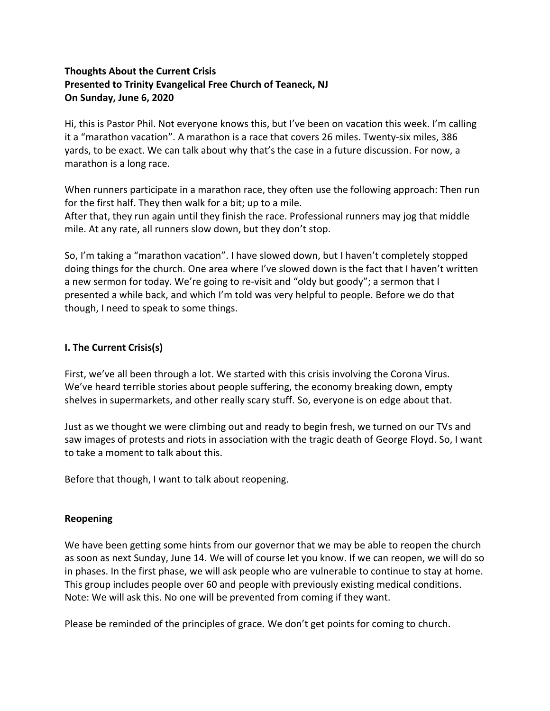## **Thoughts About the Current Crisis Presented to Trinity Evangelical Free Church of Teaneck, NJ On Sunday, June 6, 2020**

Hi, this is Pastor Phil. Not everyone knows this, but I've been on vacation this week. I'm calling it a "marathon vacation". A marathon is a race that covers 26 miles. Twenty-six miles, 386 yards, to be exact. We can talk about why that's the case in a future discussion. For now, a marathon is a long race.

When runners participate in a marathon race, they often use the following approach: Then run for the first half. They then walk for a bit; up to a mile. After that, they run again until they finish the race. Professional runners may jog that middle mile. At any rate, all runners slow down, but they don't stop.

So, I'm taking a "marathon vacation". I have slowed down, but I haven't completely stopped doing things for the church. One area where I've slowed down is the fact that I haven't written a new sermon for today. We're going to re-visit and "oldy but goody"; a sermon that I presented a while back, and which I'm told was very helpful to people. Before we do that though, I need to speak to some things.

## **I. The Current Crisis(s)**

First, we've all been through a lot. We started with this crisis involving the Corona Virus. We've heard terrible stories about people suffering, the economy breaking down, empty shelves in supermarkets, and other really scary stuff. So, everyone is on edge about that.

Just as we thought we were climbing out and ready to begin fresh, we turned on our TVs and saw images of protests and riots in association with the tragic death of George Floyd. So, I want to take a moment to talk about this.

Before that though, I want to talk about reopening.

## **Reopening**

We have been getting some hints from our governor that we may be able to reopen the church as soon as next Sunday, June 14. We will of course let you know. If we can reopen, we will do so in phases. In the first phase, we will ask people who are vulnerable to continue to stay at home. This group includes people over 60 and people with previously existing medical conditions. Note: We will ask this. No one will be prevented from coming if they want.

Please be reminded of the principles of grace. We don't get points for coming to church.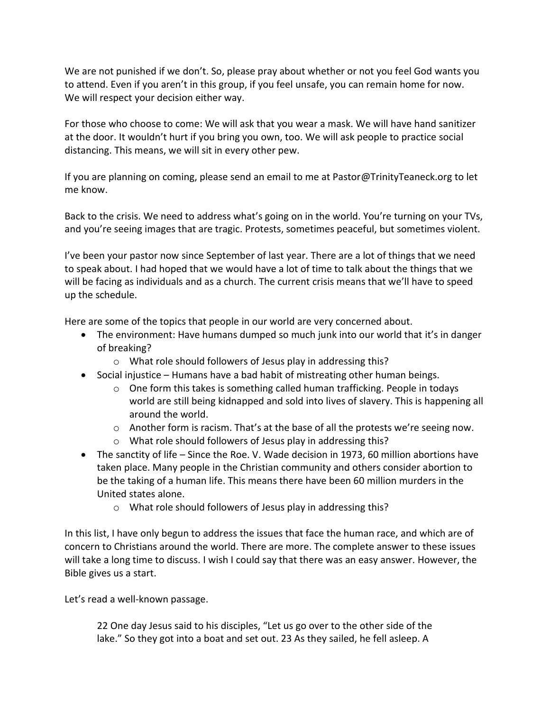We are not punished if we don't. So, please pray about whether or not you feel God wants you to attend. Even if you aren't in this group, if you feel unsafe, you can remain home for now. We will respect your decision either way.

For those who choose to come: We will ask that you wear a mask. We will have hand sanitizer at the door. It wouldn't hurt if you bring you own, too. We will ask people to practice social distancing. This means, we will sit in every other pew.

If you are planning on coming, please send an email to me at Pastor@TrinityTeaneck.org to let me know.

Back to the crisis. We need to address what's going on in the world. You're turning on your TVs, and you're seeing images that are tragic. Protests, sometimes peaceful, but sometimes violent.

I've been your pastor now since September of last year. There are a lot of things that we need to speak about. I had hoped that we would have a lot of time to talk about the things that we will be facing as individuals and as a church. The current crisis means that we'll have to speed up the schedule.

Here are some of the topics that people in our world are very concerned about.

- The environment: Have humans dumped so much junk into our world that it's in danger of breaking?
	- o What role should followers of Jesus play in addressing this?
- Social injustice Humans have a bad habit of mistreating other human beings.
	- $\circ$  One form this takes is something called human trafficking. People in todays world are still being kidnapped and sold into lives of slavery. This is happening all around the world.
	- $\circ$  Another form is racism. That's at the base of all the protests we're seeing now.
	- o What role should followers of Jesus play in addressing this?
- The sanctity of life Since the Roe. V. Wade decision in 1973, 60 million abortions have taken place. Many people in the Christian community and others consider abortion to be the taking of a human life. This means there have been 60 million murders in the United states alone.
	- o What role should followers of Jesus play in addressing this?

In this list, I have only begun to address the issues that face the human race, and which are of concern to Christians around the world. There are more. The complete answer to these issues will take a long time to discuss. I wish I could say that there was an easy answer. However, the Bible gives us a start.

Let's read a well-known passage.

22 One day Jesus said to his disciples, "Let us go over to the other side of the lake." So they got into a boat and set out. 23 As they sailed, he fell asleep. A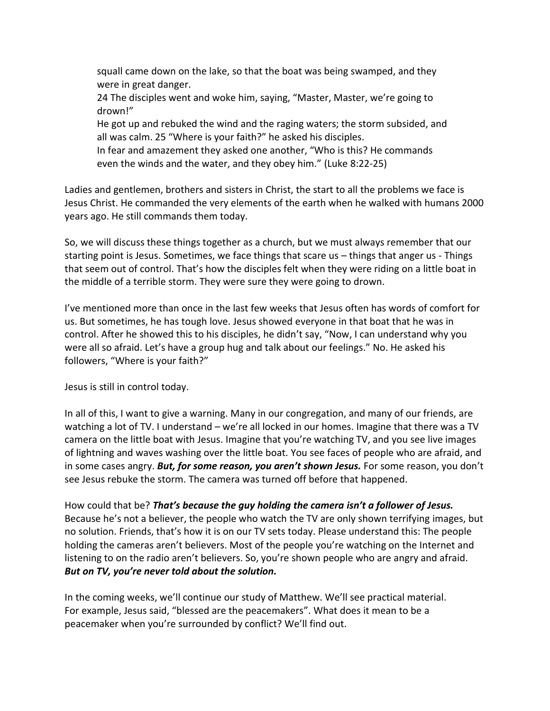squall came down on the lake, so that the boat was being swamped, and they were in great danger.

24 The disciples went and woke him, saying, "Master, Master, we're going to drown!"

He got up and rebuked the wind and the raging waters; the storm subsided, and all was calm. 25 "Where is your faith?" he asked his disciples.

In fear and amazement they asked one another, "Who is this? He commands even the winds and the water, and they obey him." (Luke 8:22-25)

Ladies and gentlemen, brothers and sisters in Christ, the start to all the problems we face is Jesus Christ. He commanded the very elements of the earth when he walked with humans 2000 years ago. He still commands them today.

So, we will discuss these things together as a church, but we must always remember that our starting point is Jesus. Sometimes, we face things that scare us – things that anger us - Things that seem out of control. That's how the disciples felt when they were riding on a little boat in the middle of a terrible storm. They were sure they were going to drown.

I've mentioned more than once in the last few weeks that Jesus often has words of comfort for us. But sometimes, he has tough love. Jesus showed everyone in that boat that he was in control. After he showed this to his disciples, he didn't say, "Now, I can understand why you were all so afraid. Let's have a group hug and talk about our feelings." No. He asked his followers, "Where is your faith?"

Jesus is still in control today.

In all of this, I want to give a warning. Many in our congregation, and many of our friends, are watching a lot of TV. I understand – we're all locked in our homes. Imagine that there was a TV camera on the little boat with Jesus. Imagine that you're watching TV, and you see live images of lightning and waves washing over the little boat. You see faces of people who are afraid, and in some cases angry. *But, for some reason, you aren't shown Jesus.* For some reason, you don't see Jesus rebuke the storm. The camera was turned off before that happened.

How could that be? *That's because the guy holding the camera isn't a follower of Jesus.* Because he's not a believer, the people who watch the TV are only shown terrifying images, but no solution. Friends, that's how it is on our TV sets today. Please understand this: The people holding the cameras aren't believers. Most of the people you're watching on the Internet and listening to on the radio aren't believers. So, you're shown people who are angry and afraid. *But on TV, you're never told about the solution.*

In the coming weeks, we'll continue our study of Matthew. We'll see practical material. For example, Jesus said, "blessed are the peacemakers". What does it mean to be a peacemaker when you're surrounded by conflict? We'll find out.